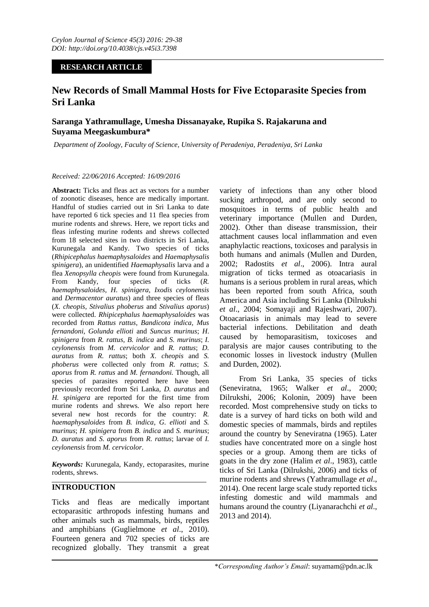# **RESEARCH ARTICLE**

# **New Records of Small Mammal Hosts for Five Ectoparasite Species from Sri Lanka**

# **Saranga Yathramullage, Umesha Dissanayake, Rupika S. Rajakaruna and Suyama Meegaskumbura\***

*Department of Zoology, Faculty of Science, University of Peradeniya, Peradeniya, Sri Lanka* 

#### *Received: 22/06/2016 Accepted: 16/09/2016*

**Abstract:** Ticks and fleas act as vectors for a number of zoonotic diseases, hence are medically important. Handful of studies carried out in Sri Lanka to date have reported 6 tick species and 11 flea species from murine rodents and shrews. Here, we report ticks and fleas infesting murine rodents and shrews collected from 18 selected sites in two districts in Sri Lanka, Kurunegala and Kandy. Two species of ticks (*Rhipicephalus haemaphysaloides* and *Haemaphysalis spinigera*), an unidentified *Haemaphysalis* larva and a flea *Xenopsylla cheopis* were found from Kurunegala. From Kandy, four species of ticks (*R. haemaphysaloides, H. spinigera, Ixodis ceylonensis*  and *Dermacentor auratus*) and three species of fleas (*X. cheopis, Stivalius phoberus* and *Stivalius aporus*) were collected. *Rhipicephalus haemaphysaloides* was recorded from *Rattus rattus, Bandicota indica, Mus fernandoni, Golunda ellioti* and *Suncus murinus*; *H*. *spinigera* from *R. rattus, B. indica* and *S. murinus*; *I. ceylonensis* from *M. cervicolor* and *R. rattus*; *D. auratus* from *R. rattus*; both *X. cheopis* and *S. phoberus* were collected only from *R. rattus*; *S. aporus* from *R. rattus* and *M. fernandoni.* Though, all species of parasites reported here have been previously recorded from Sri Lanka, *D. auratus* and *H. spinigera* are reported for the first time from murine rodents and shrews. We also report here several new host records for the country: *R. haemaphysaloides* from *B. indica*, *G. ellioti* and *S. murinus*; *H. spinigera* from *B. indica* and *S. murinus*; *D. auratus* and *S. aporus* from *R. rattus*; larvae of *I. ceylonensis* from *M. cervicolor*.

*Keywords:* Kurunegala, Kandy, ectoparasites, murine rodents, shrews.

## **INTRODUCTION**

Ticks and fleas are medically important ectoparasitic arthropods infesting humans and other animals such as mammals, birds, reptiles and amphibians (Guglielmone *et al*., 2010). Fourteen genera and 702 species of ticks are recognized globally. They transmit a great

variety of infections than any other blood sucking arthropod, and are only second to mosquitoes in terms of public health and veterinary importance (Mullen and Durden, 2002). Other than disease transmission, their attachment causes local inflammation and even anaphylactic reactions, toxicoses and paralysis in both humans and animals (Mullen and Durden, 2002; Radostits *et al*., 2006). Intra aural migration of ticks termed as otoacariasis in humans is a serious problem in rural areas, which has been reported from south Africa, south America and Asia including Sri Lanka (Dilrukshi *et al*., 2004; Somayaji and Rajeshwari, 2007). Otoacariasis in animals may lead to severe bacterial infections. Debilitation and death caused by hemoparasitism, toxicoses and paralysis are major causes contributing to the economic losses in livestock industry (Mullen and Durden, 2002).

From Sri Lanka, 35 species of ticks (Seneviratna, 1965; Walker *et al*., 2000; Dilrukshi, 2006; Kolonin, 2009) have been recorded. Most comprehensive study on ticks to date is a survey of hard ticks on both wild and domestic species of mammals, birds and reptiles around the country by Seneviratna (1965). Later studies have concentrated more on a single host species or a group. Among them are ticks of goats in the dry zone (Halim *et al*., 1983), cattle ticks of Sri Lanka (Dilrukshi, 2006) and ticks of murine rodents and shrews (Yathramullage *et al*., 2014). One recent large scale study reported ticks infesting domestic and wild mammals and humans around the country (Liyanarachchi *et al*., 2013 and 2014).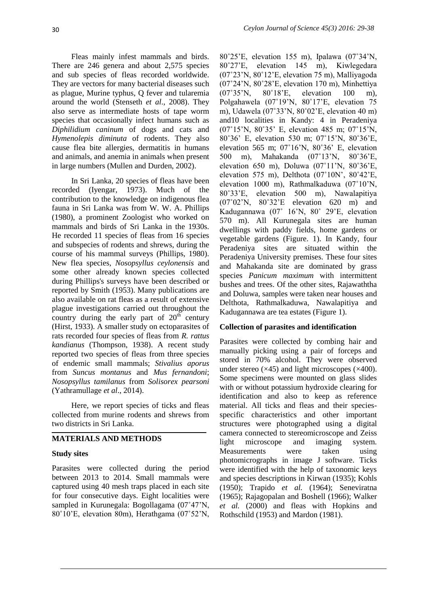Fleas mainly infest mammals and birds. There are 246 genera and about 2,575 species and sub species of fleas recorded worldwide. They are vectors for many bacterial diseases such as plague, Murine typhus, Q fever and tularemia around the world (Stenseth *et al*., 2008). They also serve as intermediate hosts of tape worm species that occasionally infect humans such as *Diphilidium caninum* of dogs and cats and *Hymenolepis diminuta* of rodents. They also cause flea bite allergies, dermatitis in humans and animals, and anemia in animals when present in large numbers (Mullen and Durden, 2002).

In Sri Lanka, 20 species of fleas have been recorded (Iyengar, 1973). Much of the contribution to the knowledge on indigenous flea fauna in Sri Lanka was from W. W. A. Phillips (1980), a prominent Zoologist who worked on mammals and birds of Sri Lanka in the 1930s. He recorded 11 species of fleas from 16 species and subspecies of rodents and shrews, during the course of his mammal surveys (Phillips, 1980). New flea species, *Nosopsyllus ceylonensis* and some other already known species collected during Phillips's surveys have been described or reported by Smith (1953). Many publications are also available on rat fleas as a result of extensive plague investigations carried out throughout the country during the early part of  $20<sup>th</sup>$  century (Hirst, 1933). A smaller study on ectoparasites of rats recorded four species of fleas from *R. rattus kandianus* (Thompson, 1938). A recent study reported two species of fleas from three species of endemic small mammals; *Stivalius aporus* from *Suncus montanus* and *Mus fernandoni*; *Nosopsyllus tamilanus* from *Solisorex pearsoni* (Yathramullage *et al*., 2014).

Here, we report species of ticks and fleas collected from murine rodents and shrews from two districts in Sri Lanka.

### **MATERIALS AND METHODS**

#### **Study sites**

Parasites were collected during the period between 2013 to 2014. Small mammals were captured using 40 mesh traps placed in each site for four consecutive days. Eight localities were sampled in Kurunegala: Bogollagama (07˚47'N, 80˚10'E, elevation 80m), Herathgama (07˚52'N,

80˚25'E, elevation 155 m), Ipalawa (07˚34'N, 80˚27'E, elevation 145 m), Kiwlegedara (07˚23'N, 80˚12'E, elevation 75 m), Malliyagoda (07˚24'N, 80˚28'E, elevation 170 m), Minhettiya (07˚35'N, 80˚18'E, elevation 100 m), Polgahawela (07˚19'N, 80˚17'E, elevation 75 m), Udawela (07˚33'N, 80˚02'E, elevation 40 m) and10 localities in Kandy: 4 in Peradeniya (07˚15'N, 80˚35' E, elevation 485 m; 07˚15'N, 80˚36' E, elevation 530 m; 07˚15'N, 80˚36'E, elevation 565 m; 07˚16'N, 80˚36' E, elevation 500 m), Mahakanda (07˚13'N, 80˚36'E, elevation 650 m), Doluwa (07˚11'N, 80˚36'E, elevation 575 m), Delthota (07˚10N', 80˚42'E, elevation 1000 m), Rathmalkaduwa (07˚10'N, 80˚33'E, elevation 500 m), Nawalapitiya (07˚02'N, 80˚32'E elevation 620 m) and Kadugannawa (07˚ 16'N, 80˚ 29'E, elevation 570 m). All Kurunegala sites are human dwellings with paddy fields, home gardens or vegetable gardens (Figure. 1). In Kandy, four Peradeniya sites are situated within the Peradeniya University premises. These four sites and Mahakanda site are dominated by grass species *Panicum maximum* with intermittent bushes and trees. Of the other sites, Rajawaththa and Doluwa, samples were taken near houses and Delthota, Rathmalkaduwa, Nawalapitiya and Kadugannawa are tea estates (Figure 1).

### **Collection of parasites and identification**

Parasites were collected by combing hair and manually picking using a pair of forceps and stored in 70% alcohol. They were observed under stereo  $(\times 45)$  and light microscopes  $(\times 400)$ . Some specimens were mounted on glass slides with or without potassium hydroxide clearing for identification and also to keep as reference material. All ticks and fleas and their speciesspecific characteristics and other important structures were photographed using a digital camera connected to stereomicroscope and Zeiss light microscope and imaging system. Measurements were taken using photomicrographs in image J software. Ticks were identified with the help of taxonomic keys and species descriptions in Kirwan (1935); Kohls (1950); Trapido *et al.* (1964); Seneviratna (1965); Rajagopalan and Boshell (1966); Walker *et al.* (2000) and fleas with Hopkins and Rothschild (1953) and Mardon (1981).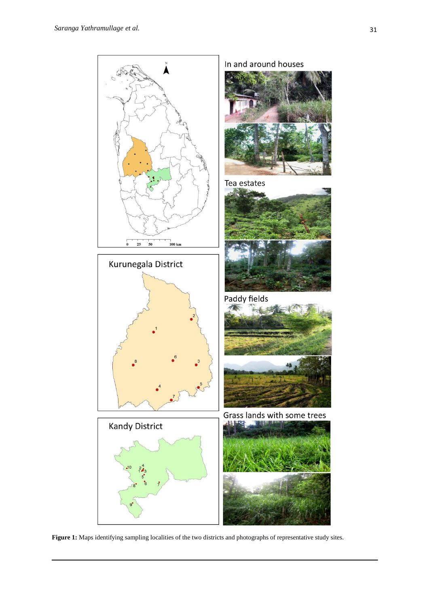

**Figure 1:** Maps identifying sampling localities of the two districts and photographs of representative study sites.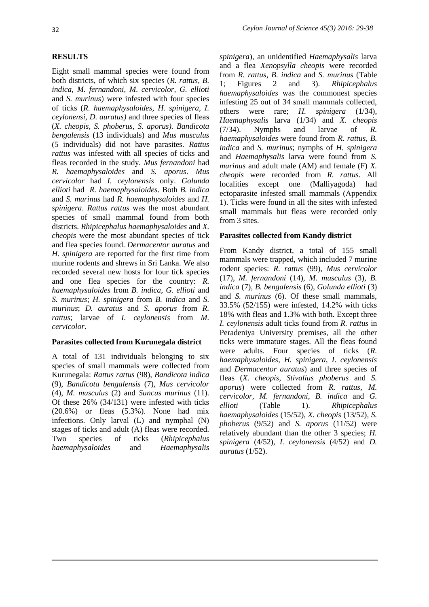### **RESULTS**

Eight small mammal species were found from both districts, of which six species (*R. rattus, B. indica, M. fernandoni, M. cervicolor, G. ellioti*  and *S. murinus*) were infested with four species of ticks (*R. haemaphysaloides, H. spinigera, I. ceylonensi, D. auratus)* and three species of fleas (*X. cheopis, S. phoberus, S. aporus). Bandicota bengalensis* (13 individuals) and *Mus musculus*  (5 individuals) did not have parasites. *Rattus rattus* was infested with all species of ticks and fleas recorded in the study. *Mus fernandoni* had *R. haemaphysaloides* and *S. aporus*. *Mus cervicolor* had *I. ceylonensis* only. *Golunda ellioti* had *R. haemaphysaloides*. Both *B. indica* and *S. murinus* had *R. haemaphysaloides* and *H. spinigera*. *Rattus rattus* was the most abundant species of small mammal found from both districts. *Rhipicephalus haemaphysaloides* and *X. cheopis* were the most abundant species of tick and flea species found. *Dermacentor auratus* and *H. spinigera* are reported for the first time from murine rodents and shrews in Sri Lanka. We also recorded several new hosts for four tick species and one flea species for the country: *R. haemaphysaloides* from *B. indica*, *G. ellioti* and *S. murinus*; *H. spinigera* from *B. indica* and *S. murinus*; *D. auratus* and *S. aporus* from *R. rattus*; larvae of *I. ceylonensis* from *M. cervicolor*.

### **Parasites collected from Kurunegala district**

A total of 131 individuals belonging to six species of small mammals were collected from Kurunegala: *Rattus rattus* (98), *Bandicota indica* (9), *Bandicota bengalensis* (7), *Mus cervicolor* (4), *M. musculus* (2) and *Suncus murinus* (11). Of these 26% (34/131) were infested with ticks (20.6%) or fleas (5.3%). None had mix infections. Only larval (L) and nymphal (N) stages of ticks and adult (A) fleas were recorded. Two species of ticks (*Rhipicephalus haemaphysaloides* and *Haemaphysalis*  *spinigera*), an unidentified *Haemaphysalis* larva and a flea *Xenopsylla cheopis* were recorded from *R. rattus*, *B. indica* and *S. murinus* (Table 1; Figures 2 and 3). *Rhipicephalus haemaphysaloides* was the commonest species infesting 25 out of 34 small mammals collected, others were rare; *H. spinigera* (1/34), *Haemaphysalis* larva (1/34) and *X. cheopis* (7/34). Nymphs and larvae of *R. haemaphysaloides* were found from *R. rattus*, *B. indica* and *S. murinus*; nymphs of *H*. *spinigera*  and *Haemaphysalis* larva were found from *S. murinus* and adult male (AM) and female (F) *X. cheopis* were recorded from *R. rattus.* All localities except one (Malliyagoda) had ectoparasite infested small mammals (Appendix 1). Ticks were found in all the sites with infested small mammals but fleas were recorded only from 3 sites.

### **Parasites collected from Kandy district**

From Kandy district, a total of 155 small mammals were trapped, which included 7 murine rodent species: *R. rattus* (99), *Mus cervicolor*  (17), *M. fernandoni* (14), *M. musculus* (3), *B. indica* (7), *B. bengalensis* (6), *Golunda ellioti* (3) and *S. murinus* (6). Of these small mammals, 33.5% (52/155) were infested, 14.2% with ticks 18% with fleas and 1.3% with both. Except three *I. ceylonensis* adult ticks found from *R. rattus* in Peradeniya University premises, all the other ticks were immature stages. All the fleas found were adults. Four species of ticks (*R. haemaphysaloides, H. spinigera, I. ceylonensis*  and *Dermacentor auratus*) and three species of fleas (*X. cheopis, Stivalius phoberus* and *S. aporus*) were collected from *R. rattus*, *M. cervicolor*, *M. fernandoni*, *B. indica* and *G. ellioti* (Table 1). *Rhipicephalus haemaphysaloides* (15/52)*, X. cheopis* (13/52)*, S. phoberus* (9/52) and *S. aporus* (11/52) were relatively abundant than the other 3 species; *H. spinigera* (4/52)*, I. ceylonensis* (4/52) and *D. auratus* (1/52).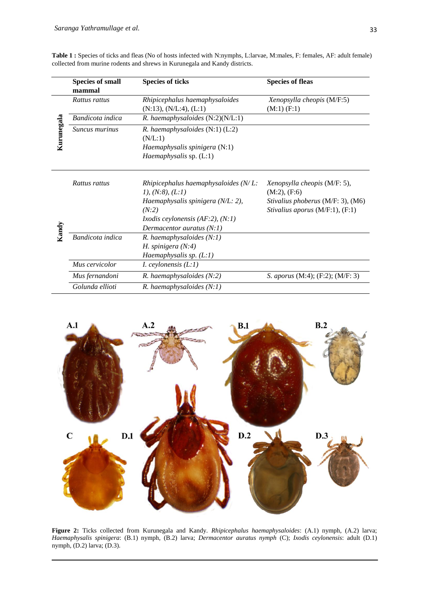| Table 1: Species of ticks and fleas (No of hosts infected with N:nymphs, L:larvae, M:males, F: females, AF: adult female) |  |
|---------------------------------------------------------------------------------------------------------------------------|--|
| collected from murine rodents and shrews in Kurunegala and Kandy districts.                                               |  |

|            | <b>Species of small</b> | <b>Species of ticks</b>                              | <b>Species of fleas</b>                 |
|------------|-------------------------|------------------------------------------------------|-----------------------------------------|
|            | mammal                  |                                                      |                                         |
|            | Rattus rattus           | Rhipicephalus haemaphysaloides                       | Xenopsylla cheopis (M/F:5)              |
|            |                         | $(N:13)$ , $(N/L:4)$ , $(L:1)$                       | $(M:1)$ $(F:1)$                         |
|            | Bandicota indica        | $R.$ haemaphysaloides $(N:2)(N/L:1)$                 |                                         |
| Kurunegala | <i>Suncus murinus</i>   | R. haemaphysaloides (N:1) (L:2)                      |                                         |
|            |                         | (N/L:1)                                              |                                         |
|            |                         | Haemaphysalis spinigera (N:1)                        |                                         |
|            |                         | Haemaphysalis sp. (L:1)                              |                                         |
|            |                         |                                                      |                                         |
|            | Rattus rattus           | Rhipicephalus haemaphysaloides $(N/L$ :              | Xenopsylla cheopis (M/F: 5),            |
|            |                         | 1), (N:8), (L:1)                                     | $(M:2)$ , $(F:6)$                       |
|            |                         | Haemaphysalis spinigera (N/L: 2),                    | Stivalius phoberus (M/F: 3), (M6)       |
|            |                         | (N:2)                                                | Stivalius aporus $(M/F:1)$ , $(F:1)$    |
|            |                         | <i>Ixodis ceylonensis (AF:2), <math>(N:1)</math></i> |                                         |
|            |                         | Dermacentor auratus $(N:1)$                          |                                         |
| Kandy      | Bandicota indica        | $R.$ haemaphysaloides $(N:1)$                        |                                         |
|            |                         | H. spinigera $(N:4)$                                 |                                         |
|            |                         | Haemaphysalis sp. (L:1)                              |                                         |
|            | Mus cervicolor          | <i>I. ceylonensis</i> $(L:1)$                        |                                         |
|            | Mus fernandoni          | $R.$ haemaphysaloides $(N:2)$                        | <i>S. aporus</i> (M:4); (F:2); (M/F: 3) |
|            | Golunda ellioti         | $R.$ haemaphysaloides $(N:1)$                        |                                         |



**Figure 2:** Ticks collected from Kurunegala and Kandy. *Rhipicephalus haemaphysaloides*: (A.1) nymph, (A.2) larva; *Haemaphysalis spinigera*: (B.1) nymph, (B.2) larva; *Dermacentor auratus nymph* (C); *Ixodis ceylonensis*: adult (D.1) nymph, (D.2) larva; (D.3).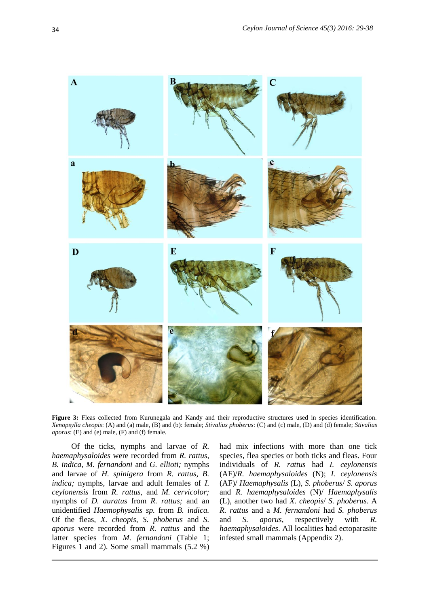

**Figure 3:** Fleas collected from Kurunegala and Kandy and their reproductive structures used in species identification. *Xenopsylla cheopis*: (A) and (a) male, (B) and (b): female; *Stivalius phoberus*: (C) and (c) male, (D) and (d) female; *Stivalius aporus*: (E) and (e) male, (F) and (f) female.

Of the ticks, nymphs and larvae of *R. haemaphysaloides* were recorded from *R. rattus, B. indica, M. fernandoni* and *G. ellioti;* nymphs and larvae of *H. spinigera* from *R. rattus, B. indica;* nymphs, larvae and adult females of *I. ceylonensis* from *R. rattus,* and *M. cervicolor;*  nymphs of *D. auratus* from *R. rattus;* and an unidentified *Haemophysalis sp.* from *B. indica.*  Of the fleas, *X. cheopis, S. phoberus* and *S. aporus* were recorded from *R. rattus* and the latter species from *M. fernandoni* (Table 1; Figures 1 and 2). Some small mammals (5.2 %) had mix infections with more than one tick species, flea species or both ticks and fleas. Four individuals of *R. rattus* had *I. ceylonensis*  (AF)/*R. haemaphysaloides* (N); *I. ceylonensis*  (AF)/ *Haemaphysalis* (L), *S. phoberus*/ *S. aporus* and *R. haemaphysaloides* (N)/ *Haemaphysalis*  (L), another two had *X. cheopis*/ *S. phoberus*. A *R. rattus* and a *M. fernandoni* had *S. phoberus* and *S. aporus*, respectively with *R. haemaphysaloides*. All localities had ectoparasite infested small mammals (Appendix 2).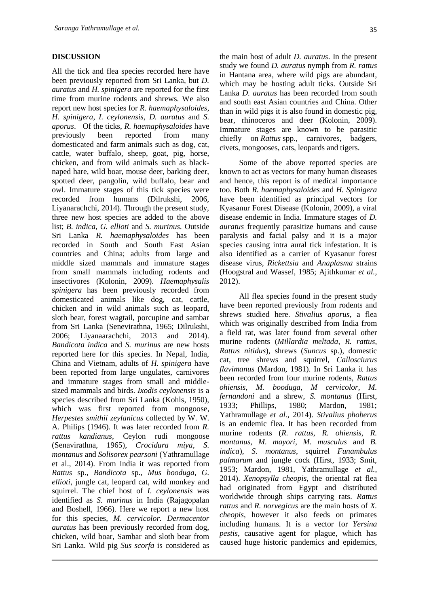#### **DISCUSSION**

All the tick and flea species recorded here have been previously reported from Sri Lanka, but *D. auratus* and *H. spinigera* are reported for the first time from murine rodents and shrews. We also report new host species for *R. haemaphysaloides*, *H. spinigera*, *I. ceylonensis*, *D. auratus* and *S. aporus*. Of the ticks, *R. haemaphysaloides* have previously been reported from many domesticated and farm animals such as dog, cat, cattle, water buffalo, sheep, goat, pig, horse, chicken, and from wild animals such as blacknaped hare, wild boar, mouse deer, barking deer, spotted deer, pangolin, wild buffalo, bear and owl. Immature stages of this tick species were recorded from humans (Dilrukshi, 2006, Liyanarachchi, 2014). Through the present study, three new host species are added to the above list; *B. indica*, *G. ellioti* and *S. murinus.* Outside Sri Lanka *R. haemaphysaloides* has been recorded in South and South East Asian countries and China; adults from large and middle sized mammals and immature stages from small mammals including rodents and insectivores (Kolonin, 2009). *Haemaphysalis spinigera* has been previously recorded from domesticated animals like dog, cat, cattle, chicken and in wild animals such as leopard, sloth bear, forest wagtail, porcupine and sambar from Sri Lanka (Senevirathna, 1965; Dilrukshi, 2006; Liyanaarachchi, 2013 and 2014). *Bandicota indica* and *S. murinus* are new hosts reported here for this species. In Nepal, India, China and Vietnam, adults of *H. spinigera* have been reported from large ungulates, carnivores and immature stages from small and middlesized mammals and birds. *Ixodis ceylonensis* is a species described from Sri Lanka (Kohls, 1950), which was first reported from mongoose, *Herpestes smithii zeylanicus* collected by W. W. A. Philips (1946). It was later recorded from *R. rattus kandianus,* Ceylon rudi mongoose (Senavirathna, 1965), *Crocidura miya*, *S. montanus* and *Solisorex pearsoni* (Yathramullage et al., 2014). From India it was reported from *Rattus* sp., *Bandicota* sp., *Mus booduga*, *G. ellioti*, jungle cat, leopard cat, wild monkey and squirrel. The chief host of *I. ceylonensis* was identified as *S. murinus* in India (Rajagopalan and Boshell, 1966). Here we report a new host for this species, *M. cervicolor. Dermacentor auratus* has been previously recorded from dog, chicken, wild boar, Sambar and sloth bear from Sri Lanka. Wild pig *Sus scorfa* is considered as

the main host of adult *D. auratus*. In the present study we found *D. auratus* nymph from *R. rattus* in Hantana area, where wild pigs are abundant, which may be hosting adult ticks. Outside Sri Lanka *D. auratus* has been recorded from south and south east Asian countries and China. Other than in wild pigs it is also found in domestic pig, bear, rhinoceros and deer (Kolonin, 2009). Immature stages are known to be parasitic chiefly on *Rattus* spp., carnivores, badgers, civets, mongooses, cats, leopards and tigers.

Some of the above reported species are known to act as vectors for many human diseases and hence, this report is of medical importance too. Both *R. haemaphysaloides* and *H. Spinigera* have been identified as principal vectors for Kyasanur Forest Disease (Kolonin, 2009), a viral disease endemic in India. Immature stages of *D. auratus* frequently parasitize humans and cause paralysis and facial palsy and it is a major species causing intra aural tick infestation. It is also identified as a carrier of Kyasanur forest disease virus, *Rickettsia* and *Anaplasma* strains (Hoogstral and Wassef, 1985; Ajithkumar *et al.,* 2012).

All flea species found in the present study have been reported previously from rodents and shrews studied here. *Stivalius aporus*, a flea which was originally described from India from a field rat, was later found from several other murine rodents (*Millardia meltada*, *R. rattus*, *Rattus nitidus*), shrews (*Suncus* sp.), domestic cat, tree shrews and squirrel, *Callosciurus flavimanus* (Mardon, 1981). In Sri Lanka it has been recorded from four murine rodents, *Rattus ohiensis*, *M. booduga*, *M cervicolor*, *M. fernandoni* and a shrew, *S. montanus* (Hirst, 1933; Phillips, 1980; Mardon, 1981; Yathramullage *et al.,* 2014). *Stivalius phoberus* is an endemic flea. It has been recorded from murine rodents (*R. rattus, R. ohiensis, R. montanus, M. mayori, M. musculus* and *B. indica*), *S. montanus*, squirrel *Funambulus palmarum* and jungle cock (Hirst, 1933; Smit, 1953; Mardon, 1981, Yathramullage *et al.,* 2014). *Xenopsylla cheopis*, the oriental rat flea had originated from Egypt and distributed worldwide through ships carrying rats. *Rattus rattus* and *R. norvegicus* are the main hosts of *X. cheopis*, however it also feeds on primates including humans. It is a vector for *Yersina pestis*, causative agent for plague, which has caused huge historic pandemics and epidemics,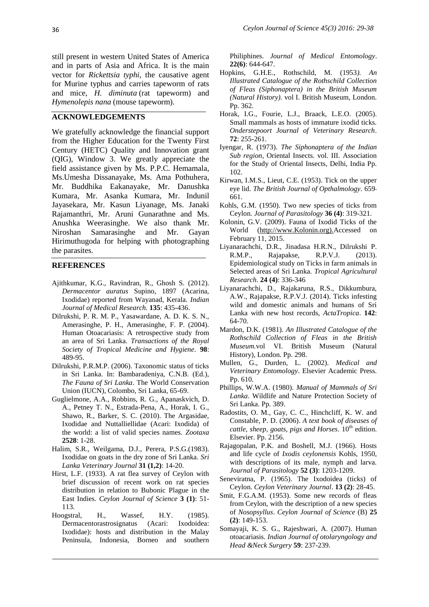still present in western United States of America and in parts of Asia and Africa. It is the main vector for *Rickettsia typhi*, the causative agent for Murine typhus and carries tapeworm of rats and mice, *H. diminuta* (rat tapeworm) and *Hymenolepis nana* (mouse tapeworm).

#### **ACKNOWLEDGEMENTS**

We gratefully acknowledge the financial support from the Higher Education for the Twenty First Century (HETC) Quality and Innovation grant (QIG), Window 3. We greatly appreciate the field assistance given by Ms. P.P.C. Hemamala, Ms.Umesha Dissanayake, Ms. Ama Pothuhera, Mr. Buddhika Eakanayake, Mr. Danushka Kumara, Mr. Asanka Kumara, Mr. Indunil Jayasekara, Mr. Kasun Liyanage, Ms. Janaki Rajamanthri, Mr. Aruni Gunarathne and Ms. Anushka Weerasinghe. We also thank Mr. Niroshan Samarasinghe and Mr. Gayan Hirimuthugoda for helping with photographing the parasites.

#### **REFERENCES**

- Ajithkumar, K.G., Ravindran, R., Ghosh S. (2012). *Dermacentor auratus* Supino, 1897 (Acarina, Ixodidae) reported from Wayanad, Kerala. *Indian Journal of Medical Research.* **135**: 435-436.
- Dilrukshi, P. R. M. P., Yasawardane, A. D. K. S. N., Amerasinghe, P. H., Amerasinghe, F. P. (2004). Human Otoacariasis: A retrospective study from an area of Sri Lanka. *Transactions of the Royal Society of Tropical Medicine and Hygiene*. **98**: 489-95.
- Dilrukshi, P.R.M.P. (2006). Taxonomic status of ticks in Sri Lanka. In: Bambaradeniya, C.N.B. (Ed.), *The Fauna of Sri Lanka*. The World Conservation Union (IUCN), Colombo, Sri Lanka, 65-69.
- Guglielmone, A.A., Robbins, R. G., Apanaskvich, D. A., Petney T. N., Estrada-Pena, A., Horak, I. G., Shawo, R., Barker, S. C. (2010). The Argasidae, Ixodidae and Nuttalliellidae (Acari: Ixodida) of the world: a list of valid species names. *Zootaxa* **2528**: 1-28.
- Halim, S.R., Weilgama, D.J., Perera, P.S.G.(1983). Ixodidae on goats in the dry zone of Sri Lanka. *Sri Lanka Veterinary Journal* **31 (1,2)**: 14-20.
- Hirst, L.F. (1933). A rat flea survey of Ceylon with brief discussion of recent work on rat species distribution in relation to Bubonic Plague in the East Indies. *Ceylon Journal of Science* **3 (1)**: 51- 113.
- Hoogstral, H., Wassef, H.Y. (1985). Dermacentorastrosignatus (Acari: Ixodoidea: Ixodidae): hosts and distribution in the Malay Peninsula, Indonesia, Borneo and southern

Philiphines. *Journal of Medical Entomology*. **22(6)**: 644-647.

- Hopkins, G.H.E., Rothschild, M. (1953*). An Illustrated Catalogue of the Rothschild Collection of Fleas (Siphonaptera) in the British Museum (Natural History).* vol I. British Museum, London. Pp. 362.
- Horak, I.G., Fourie, L.J., Braack, L.E.O. (2005). Small mammals as hosts of immature ixodid ticks. *Onderstepoort Journal of Veterinary Research*. **72**: 255-261.
- Iyengar, R. (1973). *The Siphonaptera of the Indian Sub region*, Oriental Insects. vol. III. Association for the Study of Oriental Insects, Delhi, India Pp. 102.
- Kirwan, I.M.S., Lieut, C.E. (1953). Tick on the upper eye lid. *The British Journal of Opthalmology.* 659- 661.
- Kohls, G.M. (1950). Two new species of ticks from Ceylon. *Journal of Parasitology* **36 (4)**: 319-321.
- Kolonin, G.V. (2009). Fauna of Ixodid Ticks of the World [\(http://www.Kolonin.org\).A](http://www.kolonin.org)./)ccessed on February 11, 2015.
- Liyanarachchi, D.R., Jinadasa H.R.N., Dilrukshi P. R.M.P., Rajapakse, R.P.V.J. (2013). Epidemiological study on Ticks in farm animals in Selected areas of Sri Lanka. *Tropical Agricultural Research*. **24 (4)**: 336-346
- Liyanarachchi, D., Rajakaruna, R.S., Dikkumbura, A.W., Rajapakse, R.P.V.J. (2014). Ticks infesting wild and domestic animals and humans of Sri Lanka with new host records, *ActaTropica*. **142**: 64-70.
- Mardon, D.K. (1981). *An Illustrated Catalogue of the Rothschild Collection of Fleas in the British Museum.*vol VI. British Museum (Natural History), London. Pp. 298.
- Mullen, G., Durden, L. (2002). *Medical and Veterinary Entomology*. Elsevier Academic Press. Pp. 610.
- Phillips, W.W.A. (1980). *Manual of Mammals of Sri Lanka*. Wildlife and Nature Protection Society of Sri Lanka. Pp. 389.
- Radostits, O. M., Gay, C. C., Hinchcliff, K. W. and Constable, P. D. (2006). *A text book of diseases of cattle, sheep, goats, pigs and Horses.* 10<sup>th</sup> edition. Elsevier. Pp. 2156.
- Rajagopalan, P.K. and Boshell, M.J. (1966). Hosts and life cycle of *Ixodis ceylonensis* Kohls, 1950, with descriptions of its male, nymph and larva. *Journal of Parasitology* **52 (3)**: 1203-1209.
- Seneviratna, P. (1965). The Ixodoidea (ticks) of Ceylon. *Ceylon Veterinary Journal*. **13 (2)**: 28-45.
- Smit, F.G.A.M. (1953). Some new records of fleas from Ceylon, with the description of a new species of *Nosopsyllus*. *Ceylon Journal of Science* (B) **25 (2)**: 149-153.
- Somayaji, K. S. G., Rajeshwari, A. (2007). Human otoacariasis. *Indian Journal of otolaryngology and Head &Neck Surgery* **59**: 237-239.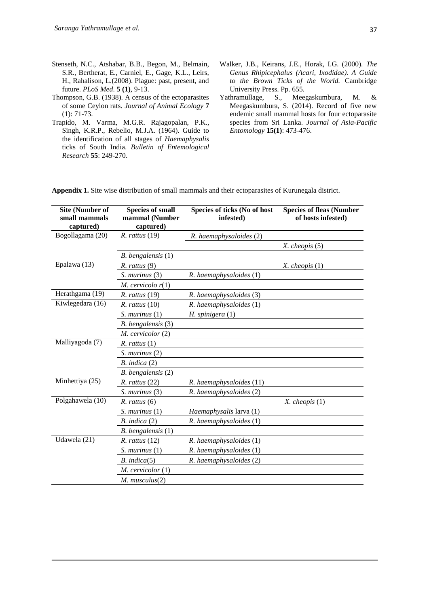- Stenseth, N.C., Atshabar, B.B., Begon, M., Belmain, S.R., Bertherat, E., Carniel, E., Gage, K.L., Leirs, H., Rahalison, L.(2008). Plague: past, present, and future. *PLoS Med*. **5 (1)**, 9-13.
- Thompson, G.B. (1938). A census of the ectoparasites of some Ceylon rats. *Journal of Animal Ecology* **7** (1): 71-73.
- Trapido, M. Varma, M.G.R. Rajagopalan, P.K., Singh, K.R.P., Rebelio, M.J.A. (1964). Guide to the identification of all stages of *Haemaphysalis* ticks of South India. *Bulletin of Entemological Research* **55**: 249-270.
- Walker, J.B., Keirans, J.E., Horak, I.G. (2000). *The Genus Rhipicephalus (Acari, Ixodidae). A Guide to the Brown Ticks of the World.* Cambridge University Press. Pp. 655.
- Yathramullage, S., Meegaskumbura, M. & Meegaskumbura, S. (2014). Record of five new endemic small mammal hosts for four ectoparasite species from Sri Lanka. *Journal of Asia-Pacific Entomology* **15(1)**: 473-476.

**Appendix 1.** Site wise distribution of small mammals and their ectoparasites of Kurunegala district.

| <b>Site (Number of</b><br>small mammals<br>captured) | <b>Species of small</b><br>mammal (Number<br>captured) | Species of ticks (No of host<br>infested) | <b>Species of fleas (Number</b><br>of hosts infested) |
|------------------------------------------------------|--------------------------------------------------------|-------------------------------------------|-------------------------------------------------------|
| Bogollagama (20)                                     | $R.$ rattus $(19)$                                     | R. haemaphysaloides (2)                   |                                                       |
|                                                      |                                                        |                                           | $X.$ cheopis $(5)$                                    |
|                                                      | $B.$ bengalensis $(1)$                                 |                                           |                                                       |
| Epalawa (13)                                         | $R.$ rattus $(9)$                                      |                                           | $X.$ cheopis $(1)$                                    |
|                                                      | $S.$ murinus $(3)$                                     | R. haemaphysaloides (1)                   |                                                       |
|                                                      | M. cervicolo $r(1)$                                    |                                           |                                                       |
| Herathgama (19)                                      | $R.$ rattus $(19)$                                     | R. haemaphysaloides (3)                   |                                                       |
| Kiwlegedara (16)                                     | $R.$ rattus $(10)$                                     | R. haemaphysaloides (1)                   |                                                       |
|                                                      | $S.$ murinus $(1)$                                     | $H.$ spinigera $(1)$                      |                                                       |
|                                                      | B. bengalensis (3)                                     |                                           |                                                       |
|                                                      | M. cervicolor (2)                                      |                                           |                                                       |
| Malliyagoda (7)                                      | $R.$ rattus $(1)$                                      |                                           |                                                       |
|                                                      | S. murinus (2)                                         |                                           |                                                       |
|                                                      | $B.$ indica $(2)$                                      |                                           |                                                       |
|                                                      | B. bengalensis (2)                                     |                                           |                                                       |
| Minhettiya (25)                                      | $R.$ rattus $(22)$                                     | R. haemaphysaloides (11)                  |                                                       |
|                                                      | $S.$ murinus $(3)$                                     | R. haemaphysaloides (2)                   |                                                       |
| Polgahawela (10)                                     | $R.$ rattus $(6)$                                      |                                           | $X.$ cheopis $(1)$                                    |
|                                                      | S. murinus (1)                                         | Haemaphysalis larva (1)                   |                                                       |
|                                                      | $B.$ indica $(2)$                                      | R. haemaphysaloides (1)                   |                                                       |
|                                                      | B. bengalensis (1)                                     |                                           |                                                       |
| Udawela (21)                                         | R. rattus (12)                                         | R. haemaphysaloides (1)                   |                                                       |
|                                                      | $S.$ murinus $(1)$                                     | R. haemaphysaloides (1)                   |                                                       |
|                                                      | B.~indica(5)                                           | R. haemaphysaloides (2)                   |                                                       |
|                                                      | $M.$ cervicolor $(1)$                                  |                                           |                                                       |
|                                                      | $M.$ musculus $(2)$                                    |                                           |                                                       |